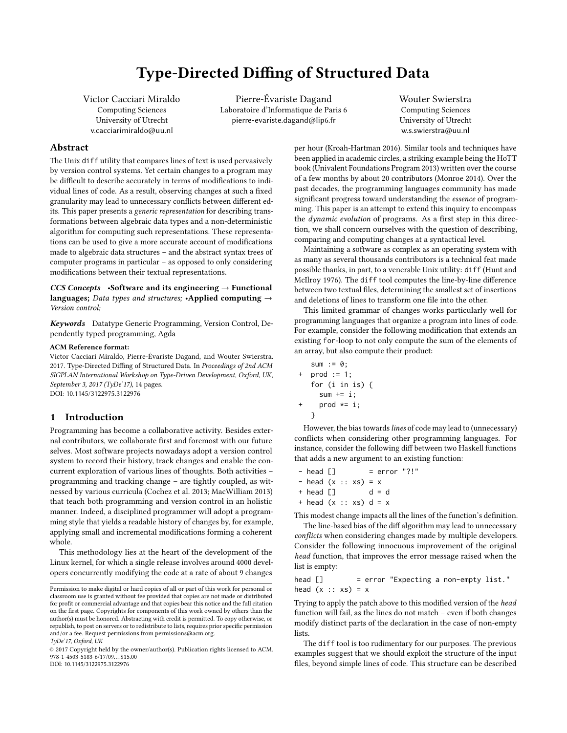# Type-Directed Diffing of Structured Data

Victor Cacciari Miraldo Computing Sciences University of Utrecht v.cacciarimiraldo@uu.nl

Pierre-Évariste Dagand Laboratoire d'Informatique de Paris 6 pierre-evariste.dagand@lip6.fr

Wouter Swierstra Computing Sciences University of Utrecht w.s.swierstra@uu.nl

## Abstract

The Unix diff utility that compares lines of text is used pervasively by version control systems. Yet certain changes to a program may be difficult to describe accurately in terms of modifications to individual lines of code. As a result, observing changes at such a fixed granularity may lead to unnecessary conflicts between different edits. This paper presents a generic representation for describing transformations between algebraic data types and a non-deterministic algorithm for computing such representations. These representations can be used to give a more accurate account of modifications made to algebraic data structures – and the abstract syntax trees of computer programs in particular – as opposed to only considering modifications between their textual representations.

CCS Concepts •Software and its engineering  $\rightarrow$  Functional languages; Data types and structures; •Applied computing  $\rightarrow$ Version control;

Keywords Datatype Generic Programming, Version Control, Dependently typed programming, Agda

#### ACM Reference format:

Victor Cacciari Miraldo, Pierre-Évariste Dagand, and Wouter Swierstra. 2017. Type-Directed Diffing of Structured Data. In Proceedings of 2nd ACM SIGPLAN International Workshop on Type-Driven Development, Oxford, UK, September 3, 2017 (TyDe'17), [14](#page-13-0) pages. DOI: 10.1145/3122975.3122976

## 1 Introduction

Programming has become a collaborative activity. Besides external contributors, we collaborate first and foremost with our future selves. Most software projects nowadays adopt a version control system to record their history, track changes and enable the concurrent exploration of various lines of thoughts. Both activities – programming and tracking change – are tightly coupled, as witnessed by various curricula [\(Cochez et al.](#page-12-0) [2013;](#page-12-0) [MacWilliam 2013\)](#page-12-1) that teach both programming and version control in an holistic manner. Indeed, a disciplined programmer will adopt a programming style that yields a readable history of changes by, for example, applying small and incremental modifications forming a coherent whole.

This methodology lies at the heart of the development of the Linux kernel, for which a single release involves around 4000 developers concurrently modifying the code at a rate of about 9 changes

per hour [\(Kroah-Hartman 2016\)](#page-12-2). Similar tools and techniques have been applied in academic circles, a striking example being the HoTT book [\(Univalent Foundations Program 2013\)](#page-13-1) written over the course of a few months by about 20 contributors [\(Monroe 2014\)](#page-12-3). Over the past decades, the programming languages community has made significant progress toward understanding the essence of programming. This paper is an attempt to extend this inquiry to encompass the dynamic evolution of programs. As a first step in this direction, we shall concern ourselves with the question of describing, comparing and computing changes at a syntactical level.

Maintaining a software as complex as an operating system with as many as several thousands contributors is a technical feat made possible thanks, in part, to a venerable Unix utility: diff [\(Hunt and](#page-12-4) [McIlroy 1976\)](#page-12-4). The diff tool computes the line-by-line difference between two textual files, determining the smallest set of insertions and deletions of lines to transform one file into the other.

This limited grammar of changes works particularly well for programming languages that organize a program into lines of code. For example, consider the following modification that extends an existing for-loop to not only compute the sum of the elements of an array, but also compute their product:

```
sum := 0;
+ prod := 1;
  for (i in is) {
    sum + = i:
+ prod *= i;
   }
```
However, the bias towards lines of code may lead to (unnecessary) conflicts when considering other programming languages. For instance, consider the following diff between two Haskell functions that adds a new argument to an existing function:

| - head []            |  |  | $=$ error "?!" |  |
|----------------------|--|--|----------------|--|
| - head (x :: xs) = x |  |  |                |  |
| + head []            |  |  | $d = d$        |  |
|                      |  |  |                |  |

This modest change impacts all the lines of the function's definition.

The line-based bias of the diff algorithm may lead to unnecessary conflicts when considering changes made by multiple developers. Consider the following innocuous improvement of the original head function, that improves the error message raised when the list is empty:

head [] = error "Expecting a non-empty list." head  $(x :: xs) = x$ 

Trying to apply the patch above to this modified version of the head function will fail, as the lines do not match – even if both changes modify distinct parts of the declaration in the case of non-empty lists.

The diff tool is too rudimentary for our purposes. The previous examples suggest that we should exploit the structure of the input files, beyond simple lines of code. This structure can be described

Permission to make digital or hard copies of all or part of this work for personal or classroom use is granted without fee provided that copies are not made or distributed for profit or commercial advantage and that copies bear this notice and the full citation on the first page. Copyrights for components of this work owned by others than the author(s) must be honored. Abstracting with credit is permitted. To copy otherwise, or republish, to post on servers or to redistribute to lists, requires prior specific permission and/or a fee. Request permissions from permissions@acm.org. TyDe'17, Oxford, UK

<sup>©</sup> 2017 Copyright held by the owner/author(s). Publication rights licensed to ACM. 978-1-4503-5183-6/17/09. . . \$15.00 DOI: 10.1145/3122975.3122976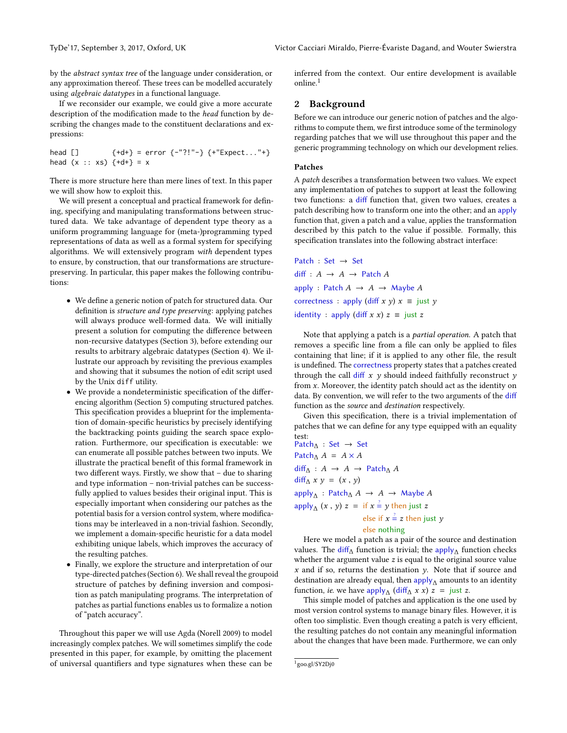by the abstract syntax tree of the language under consideration, or any approximation thereof. These trees can be modelled accurately using algebraic datatypes in a functional language.

If we reconsider our example, we could give a more accurate description of the modification made to the *head* function by describing the changes made to the constituent declarations and expressions:

head [] {+d+} = error {-"?!"-} {+"Expect..."+} head (x :: xs) {+d+} = x

There is more structure here than mere lines of text. In this paper we will show how to exploit this.

We will present a conceptual and practical framework for defining, specifying and manipulating transformations between structured data. We take advantage of dependent type theory as a uniform programming language for (meta-)programming typed representations of data as well as a formal system for specifying algorithms. We will extensively program with dependent types to ensure, by construction, that our transformations are structurepreserving. In particular, this paper makes the following contributions:

- We define a generic notion of patch for structured data. Our definition is *structure and type preserving*: applying patches will always produce well-formed data. We will initially present a solution for computing the difference between non-recursive datatypes (Section [3\)](#page-3-0), before extending our results to arbitrary algebraic datatypes (Section [4\)](#page-6-0). We illustrate our approach by revisiting the previous examples and showing that it subsumes the notion of edit script used by the Unix diff utility.
- $\bullet\,$  We provide a nondeterministic specification of the differencing algorithm (Section [5\)](#page-9-0) computing structured patches. This specification provides a blueprint for the implementation of domain-specific heuristics by precisely identifying the backtracking points guiding the search space exploration. Furthermore, our specification is executable: we can enumerate all possible patches between two inputs. We illustrate the practical benefit of this formal framework in two different ways. Firstly, we show that  $-$  due to sharing and type information – non-trivial patches can be successfully applied to values besides their original input. This is especially important when considering our patches as the potential basis for a version control system, where modifications may be interleaved in a non-trivial fashion. Secondly, we implement a domain-specific heuristic for a data model exhibiting unique labels, which improves the accuracy of the resulting patches.
- Finally, we explore the structure and interpretation of our type-directed patches (Section [6\)](#page-10-0). We shall reveal the groupoid structure of patches by defining inversion and composition as patch manipulating programs. The interpretation of patches as partial functions enables us to formalize a notion of "patch accuracy".

Throughout this paper we will use Agda [\(Norell 2009\)](#page-12-5) to model increasingly complex patches. We will sometimes simplify the code presented in this paper, for example, by omitting the placement of universal quantifiers and type signatures when these can be inferred from the context. Our entire development is available online.[1](#page-1-0)

## 2 Background

Before we can introduce our generic notion of patches and the algorithms to compute them, we first introduce some of the terminology regarding patches that we will use throughout this paper and the generic programming technology on which our development relies.

## <span id="page-1-1"></span>Patches

A patch describes a transformation between two values. We expect any implementation of patches to support at least the following two functions: a diff function that, given two values, creates a patch describing how to transform one into the other; and an apply function that, given a patch and a value, applies the transformation described by this patch to the value if possible. Formally, this specification translates into the following abstract interface:

Patch : Set → Set diff :  $A \rightarrow A \rightarrow$  Patch A apply : Patch  $A \rightarrow A \rightarrow$  Maybe A correctness : apply (diff  $x$   $y$ )  $x \equiv$  just  $y$ identity : apply (diff  $x x$ )  $z \equiv$  just z

Note that applying a patch is a partial operation. A patch that removes a specific line from a file can only be applied to files containing that line; if it is applied to any other file, the result is undefined. The correctness property states that a patches created through the call diff  $x$   $y$  should indeed faithfully reconstruct  $y$ from x. Moreover, the identity patch should act as the identity on data. By convention, we will refer to the two arguments of the diff function as the source and destination respectively.

Given this specification, there is a trivial implementation of patches that we can define for any type equipped with an equality test:

<span id="page-1-2"></span>Patch∆ : Set <sup>→</sup> Set Patch<sub>∆</sub>  $A = A \times A$  $diff_{\Lambda}: A \rightarrow A \rightarrow$  Patch<sub>∆</sub> A  $diff_{\Lambda} x y = (x, y)$  $\text{apply}_{\Delta}: \text{Patch}_{\Delta} A \rightarrow A \rightarrow \text{Maybe } A$ apply<sub> $\triangle$ </sub>  $(x, y)$   $z =$  if  $x \stackrel{?}{=} y$  then just  $z$ else if  $x = \pm z$  then just  $y$ else nothing

Here we model a patch as a pair of the source and destination values. The diff<sub>∆</sub> function is trivial; the apply<sub>∆</sub> function checks whether the argument value z is equal to the original source value whether the argument value  $z$  is equal to the original source value  $x$  and if so, returns the destination  $y$ . Note that if source and destination are already equal, then  $\text{apply}_{\Lambda}$  amounts to an identity function, *ie.* we have apply<sub> $\Delta$ </sub> (diff<sub> $\Delta$ </sub> x x)  $z =$  just z.<br>This simple model of patches and application is the

This simple model of patches and application is the one used by most version control systems to manage binary files. However, it is often too simplistic. Even though creating a patch is very efficient, the resulting patches do not contain any meaningful information about the changes that have been made. Furthermore, we can only

<span id="page-1-0"></span><sup>1</sup> <goo.gl/SY2Dj0>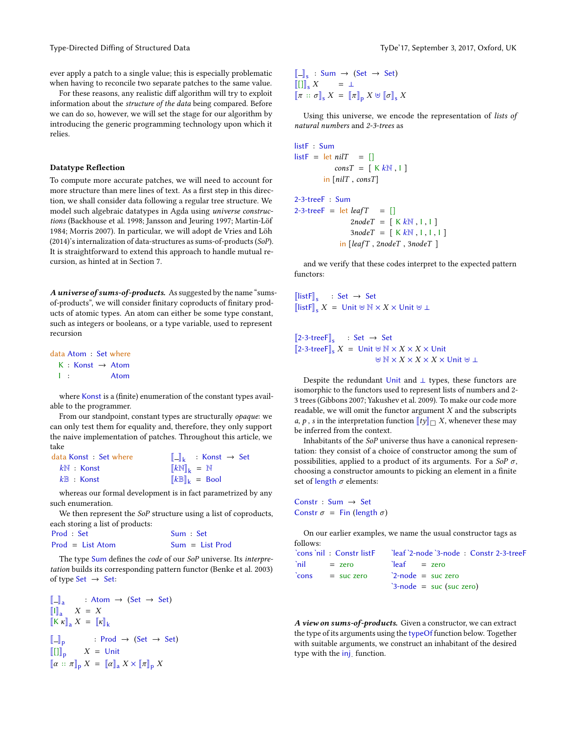Type-Directed Diffing of Structured Data Type-17, September 3, 2017, Oxford, UK

ever apply a patch to a single value; this is especially problematic when having to reconcile two separate patches to the same value.

For these reasons, any realistic diff algorithm will try to exploit information about the structure of the data being compared. Before we can do so, however, we will set the stage for our algorithm by introducing the generic programming technology upon which it relies.

#### Datatype Reflection

To compute more accurate patches, we will need to account for more structure than mere lines of text. As a first step in this direction, we shall consider data following a regular tree structure. We model such algebraic datatypes in Agda using universe constructions [\(Backhouse et al.](#page-12-6) [1998;](#page-12-6) [Jansson and Jeuring 1997;](#page-12-7) [Martin-Löf](#page-12-8) [1984;](#page-12-8) [Morris 2007\)](#page-12-9). In particular, we will adopt [de Vries and Löh](#page-12-10) [\(2014\)](#page-12-10)'s internalization of data-structures as sums-of-products (SoP). It is straightforward to extend this approach to handle mutual recursion, as hinted at in Section [7.](#page-11-0)

A universe of sums-of-products. As suggested by the name "sumsof-products", we will consider finitary coproducts of finitary products of atomic types. An atom can either be some type constant, such as integers or booleans, or a type variable, used to represent recursion

data Atom : Set where  $K :$  Konst  $\rightarrow$  Atom I : Atom

where Konst is a (finite) enumeration of the constant types available to the programmer.

From our standpoint, constant types are structurally opaque: we can only test them for equality and, therefore, they only support the naive implementation of patches. Throughout this article, we take

| data Konst : Set where | $\ \_k$ : Konst $\rightarrow$ Set                    |
|------------------------|------------------------------------------------------|
| $k\mathbb{N}$ : Konst  | $\llbracket kN \rrbracket_k = N$                     |
| $k\mathbb{B}$ : Konst  | $\llbracket k \mathbb{B} \rrbracket_k = \text{Bool}$ |

whereas our formal development is in fact parametrized by any such enumeration.

We then represent the SoP structure using a list of coproducts, each storing a list of products:

| Prod : Set         | Sum : Set |                   |
|--------------------|-----------|-------------------|
| $Prod = List Atom$ |           | $Sum = List$ Prod |

The type Sum defines the code of our SoP universe. Its interpretation builds its corresponding pattern functor [\(Benke et al.](#page-12-11) [2003\)](#page-12-11) of type  $Set \rightarrow Set$ :

```
\begin{bmatrix} \mathbb{I} - \mathbb{I}_a & \mathbb{I} & A \mathbb{I} \\ \mathbb{I} \mathbb{I}_a & X = X \\ \mathbb{I} & \mathbb{I} & X \end{bmatrix}: Atom → (Set → Set)
\left\Vert K \kappa \right\Vert_a X = \left\Vert \kappa \right\Vert_k\begin{bmatrix} \mathbb{-} \mathbb{I}_{p} \\ \mathbb{I} \end{bmatrix}: Prod \rightarrow (Set \rightarrow Set)
```
 $X =$  Unit  $[\![\alpha :: \pi]\!]_p X = [\![\alpha]\!]_a X \times [\![\pi]\!]_p X$ 

 $\llbracket - \rrbracket_s : Sum \rightarrow (Set \rightarrow Set)$  $\llbracket \llbracket \rrbracket_{\mathsf{s}} X \qquad = \perp$  $[\![\pi :: \sigma]\!]_S X = [\![\pi]\!]_D X \uplus [\![\sigma]\!]_S X$ 

Using this universe, we encode the representation of lists of natural numbers and 2-3-trees as

```
listF : Sum
listF = let nilT = []consT = [KkN, 1]in [nilT , consT]
```
2-3-treeF : Sum

 $2-3$ -treeF = let *leafT* = []  $2nodeT = [KkN, I, I]$  $3nodeT = [KkN, I, I, I]$ in [leafT , <sup>2</sup>nodeT , <sup>3</sup>nodeT ]

and we verify that these codes interpret to the expected pattern functors:

 $\llbracket \text{listF} \rrbracket_s : \text{Set} \rightarrow \text{Set}$  $\llbracket$ listF $\rrbracket_s$  X = Unit  $\forall N \times X \times$  Unit  $\forall \bot$ 

 $[2-3-treeF]_s$  : Set  $\rightarrow$  Set<br> $[3, 3, 4, \dots, F]_s$  X = Heiter N I  $[2-3-treeF]_S X =$  Unit  $\forall N \times X \times X \times$  Unit  $\forall$  N  $\times$  X  $\times$  X  $\times$  X  $\times$  Unit  $\forall$  1

Despite the redundant Unit and ⊥ types, these functors are isomorphic to the functors used to represent lists of numbers and 2- 3 trees [\(Gibbons 2007;](#page-12-12) [Yakushev et al.](#page-13-2) [2009\)](#page-13-2). To make our code more readable, we will omit the functor argument  $X$  and the subscripts *a*, *p* , *s* in the interpretation function  $[$ [ty] $]$  $\Box$  *X*, whenever these may be inferred from the context.

Inhabitants of the SoP universe thus have a canonical representation: they consist of a choice of constructor among the sum of possibilities, applied to a product of its arguments. For a  $\text{SoP } \sigma$ , choosing a constructor amounts to picking an element in a finite set of length  $\sigma$  elements:

Constr : Sum → Set Constr  $\sigma =$  Fin (length  $\sigma$ )

On our earlier examples, we name the usual constructor tags as follows:

| `nil<br>$=$ zero         | $\text{leaf}$ = zero              |
|--------------------------|-----------------------------------|
| $\text{cons}$ = suc zero | $2$ -node = suc zero              |
|                          | $\degree$ 3-node = suc (suc zero) |
|                          |                                   |

A view on sums-of-products. Given a constructor, we can extract the type of its arguments using the typeOf function below. Together with suitable arguments, we construct an inhabitant of the desired type with the inj. function.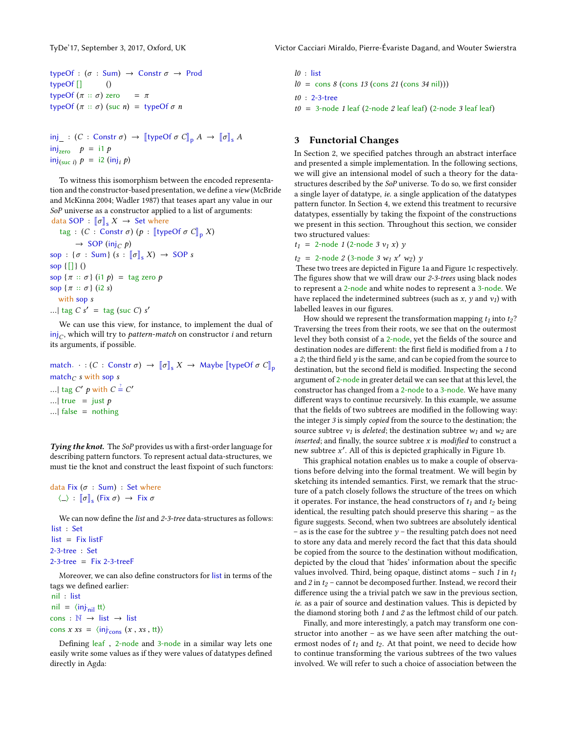```
typeOf : (\sigma : Sum) \rightarrow Constr \sigma \rightarrow Prod<br>typeOf [] ()
typeOf [] ()
typeOf (π :: σ) zero = π<br>typeOf (π :: σ) (que n) = ty
typeOf (\pi :: \sigma) (suc n) = typeOf \sigma n
```

```
inj \Xi : (C : Constr \sigma) \rightarrow [[typeOf \sigma C]<sub>p</sub> A \rightarrow [[\sigma]<sub>s</sub> A
inj_{zero}  p = i1 p\text{inj}_{\text{(suc }i)} p = \text{i2 } (\text{inj}_i p)
```
To witness this isomorphism between the encoded representa-tion and the constructor-based presentation, we define a view [\(McBri](#page-12-13)de [and McKinna 2004;](#page-12-13) [Wadler 1987\)](#page-13-3) that teases apart any value in our SoP universe as a constructor applied to a list of arguments: data SOP :  $\llbracket \sigma \rrbracket_s X \rightarrow$  Set where

```
tag : (C : \text{Constr } \sigma) (p : [\text{typeOf } \sigma C]_p X)\rightarrow SOP (inj<sub>C</sub> p)
sop : {\sigma : Sum} (s : \llbracket \sigma \rrbracket_s X) \rightarrow SOP s
sop \{[]\}()sop \{\pi : \sigma\} (i1 p) = tag zero p
sop {\pi :: \sigma} (i2 s)
   with sop s
...| tag C s' = \text{tag (suc } C) s'
```
We can use this view, for instance, to implement the dual of  $\overline{\mathsf{inj}}_C$ , which will try to *pattern-match* on constructor *i* and return its arguments, if possible.

match.  $\cdot$  : (*C* : Constr σ) → [[σ]<sub>s</sub> *X* → Maybe [[typeOf σ C]<sub>p</sub> match $_C$  s with sop s ...| tag C' p with  $C = C'$ ...| true = just  $p$ ...| false = nothing

Tying the knot. The SoP provides us with a first-order language for describing pattern functors. To represent actual data-structures, we must tie the knot and construct the least fixpoint of such functors:

data Fix ( $\sigma$  : Sum) : Set where  $\langle \_ \rangle : [\![\sigma]\!]_{\mathsf{s}}$  (Fix  $\sigma$ )  $\rightarrow$  Fix  $\sigma$ 

We can now define the *list* and  $2-3$ -tree data-structures as follows: list : Set

```
list = Fix listF2-3-tree : Set
2-3-tree = Fix 2-3-treeF
```
Moreover, we can also define constructors for list in terms of the tags we defined earlier:

nil : list  $\text{nil} = \langle \text{inj}_{\text{nil}} \rangle \text{tt}$  $cons : \mathbb{N} \to list \to list$ cons  $x \, xs = \langle inj_{cons} (x , xs , tt) \rangle$ 

Defining leaf, 2-node and 3-node in a similar way lets one easily write some values as if they were values of datatypes defined directly in Agda:

l0 : list  $l0 = \text{cons } 8 \text{ (cons } 13 \text{ (cons } 21 \text{ (cons } 34 \text{ nil)}))$ t0 : 2-3-tree  $t0 = 3$ -node 1 leaf (2-node 2 leaf leaf) (2-node 3 leaf leaf)

## <span id="page-3-0"></span>3 Functorial Changes

In Section [2,](#page-1-1) we specified patches through an abstract interface and presented a simple implementation. In the following sections, we will give an intensional model of such a theory for the datastructures described by the SoP universe. To do so, we first consider a single layer of datatype, ie. a single application of the datatypes pattern functor. In Section [4,](#page-6-0) we extend this treatment to recursive datatypes, essentially by taking the fixpoint of the constructions we present in this section. Throughout this section, we consider two structured values:

 $t_1 = 2$ -node 1 (2-node 3  $v_1 x$ ) y

 $t_2 = 2$ -node 2 (3-node 3  $w_1 x' w_2$ ) y<br>These two trees are depicted in Figure

These two trees are depicted in Figure [1a](#page-5-0) and Figure [1c](#page-5-0) respectively. The figures show that we will draw our  $2-3$ -trees using black nodes to represent a 2-node and white nodes to represent a 3-node. We have replaced the indetermined subtrees (such as  $x$ ,  $y$  and  $v_1$ ) with labelled leaves in our figures.

How should we represent the transformation mapping  $t_1$  into  $t_2$ ? Traversing the trees from their roots, we see that on the outermost level they both consist of a 2-node, yet the fields of the source and destination nodes are different: the first field is modified from a 1 to a 2; the third field  $y$  is the same, and can be copied from the source to destination, but the second field is modified. Inspecting the second argument of 2-node in greater detail we can see that at this level, the constructor has changed from a 2-node to a 3-node. We have many different ways to continue recursively. In this example, we assume that the fields of two subtrees are modified in the following way: the integer 3 is simply copied from the source to the destination; the source subtree  $v_1$  is *deleted*; the destination subtree  $w_1$  and  $w_2$  are inserted; and finally, the source subtree  $x$  is modified to construct a new subtree  $x'$ . All of this is depicted graphically in Figure [1b.](#page-5-0)

This graphical notation enables us to make a couple of observations before delving into the formal treatment. We will begin by sketching its intended semantics. First, we remark that the structure of a patch closely follows the structure of the trees on which it operates. For instance, the head constructors of  $t_1$  and  $t_2$  being identical, the resulting patch should preserve this sharing – as the figure suggests. Second, when two subtrees are absolutely identical – as is the case for the subtree  $y$  – the resulting patch does not need to store any data and merely record the fact that this data should be copied from the source to the destination without modification, depicted by the cloud that 'hides' information about the specific values involved. Third, being opaque, distinct atoms – such 1 in  $t_1$ and 2 in  $t_2$  – cannot be decomposed further. Instead, we record their difference using the a trivial patch we saw in the previous section, ie. as a pair of source and destination values. This is depicted by the diamond storing both 1 and 2 as the leftmost child of our patch.

Finally, and more interestingly, a patch may transform one constructor into another – as we have seen after matching the outermost nodes of  $t_1$  and  $t_2$ . At that point, we need to decide how to continue transforming the various subtrees of the two values involved. We will refer to such a choice of association between the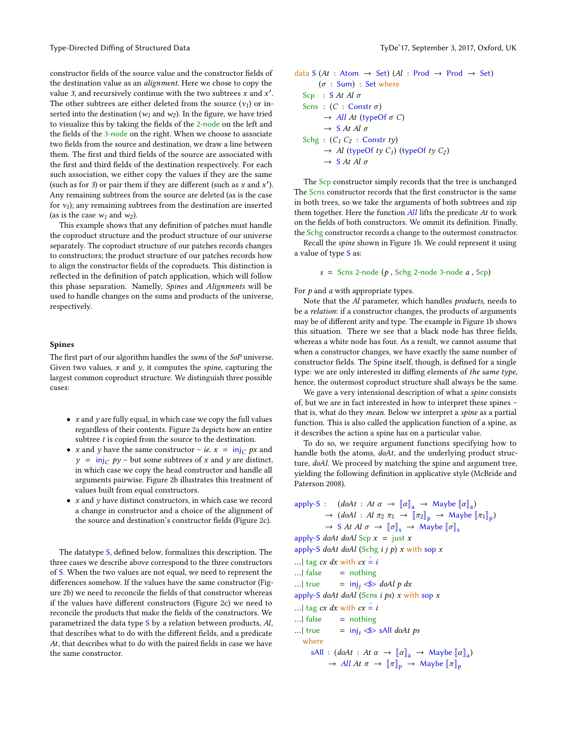Type-Directed Diffing of Structured Data Type-17, September 3, 2017, Oxford, UK

constructor fields of the source value and the constructor fields of the destination value as an alignment. Here we chose to copy the value 3, and recursively continue with the two subtrees x and  $x'$ . The other subtrees are either deleted from the source  $(v_1)$  or inserted into the destination ( $w_1$  and  $w_2$ ). In the figure, we have tried to visualize this by taking the fields of the 2-node on the left and the fields of the 3-node on the right. When we choose to associate two fields from the source and destination, we draw a line between them. The first and third fields of the source are associated with the first and third fields of the destination respectively. For each such association, we either copy the values if they are the same (such as for 3) or pair them if they are different (such as  $x$  and  $x'$ ). Any remaining subtrees from the source are deleted (as is the case for  $v_1$ ); any remaining subtrees from the destination are inserted (as is the case  $w_1$  and  $w_2$ ).

This example shows that any definition of patches must handle the coproduct structure and the product structure of our universe separately. The coproduct structure of our patches records changes to constructors; the product structure of our patches records how to align the constructor fields of the coproducts. This distinction is reflected in the definition of patch application, which will follow this phase separation. Namelly, Spines and Alignments will be used to handle changes on the sums and products of the universe, respectively.

#### <span id="page-4-0"></span>Spines

The first part of our algorithm handles the sums of the SoP universe. Given two values,  $x$  and  $y$ , it computes the *spine*, capturing the largest common coproduct structure. We distinguish three possible cases:

- $\bullet~$  x and  $y$  are fully equal, in which case we copy the full values regardless of their contents. Figure [2a](#page-5-1) depicts how an entire subtree t is copied from the source to the destination.
- *x* and *y* have the same constructor *ie.*  $x = inj_C px$  and  $y = inj_C py$  – but some subtrees of x and y are distinct, in which case we copy the head constructor and handle all arguments pairwise. Figure [2b](#page-5-1) illustrates this treatment of values built from equal constructors.
- $x$  and  $y$  have distinct constructors, in which case we record a change in constructor and a choice of the alignment of the source and destination's constructor fields (Figure [2c\)](#page-5-1).

The datatype S, defined below, formalizes this description. The three cases we describe above correspond to the three constructors of S. When the two values are not equal, we need to represent the differences somehow. If the values have the same constructor (Fig-ure [2b\)](#page-5-1) we need to reconcile the fields of that constructor whereas if the values have different constructors (Figure [2c\)](#page-5-1) we need to reconcile the products that make the fields of the constructors. We parametrized the data type <sup>S</sup> by a relation between products, Al, that describes what to do with the different fields, and a predicate  $At$ , that describes what to do with the paired fields in case we have the same constructor.

data <sup>S</sup> (At : Atom <sup>→</sup> Set) (Al : Prod <sup>→</sup> Prod <sup>→</sup> Set) (σ : Sum) : Set where Scp : <sup>S</sup> At Al σ Scns : (<sup>C</sup> : Constr σ ) <sup>→</sup> All At (typeOf σ <sup>C</sup>) <sup>→</sup> <sup>S</sup> At Al σ Schg : (C<sup>1</sup> <sup>C</sup><sup>2</sup> : Constr ty) <sup>→</sup> Al (typeOf ty C1) (typeOf ty C<sup>2</sup> ) <sup>→</sup> <sup>S</sup> At Al σ

The Scp constructor simply records that the tree is unchanged The Scns constructor records that the first constructor is the same in both trees, so we take the arguments of both subtrees and zip them together. Here the function All lifts the predicate At to work on the fields of both constructors. We ommit its definition. Finally, the Schg constructor records a change to the outermost constructor.

Recall the spine shown in Figure [1b.](#page-5-0) We could represent it using a value of type S as:

$$
s =
$$
 Sens 2-node ( $p$ , Schg 2-node 3-node  $a$ , Scp)

For  $p$  and  $a$  with appropriate types.

Note that the Al parameter, which handles products, needs to be a relation: if a constructor changes, the products of arguments may be of different arity and type. The example in Figure [1b](#page-5-0) shows this situation. There we see that a black node has three fields, whereas a white node has four. As a result, we cannot assume that when a constructor changes, we have exactly the same number of constructor fields. The Spine itself, though, is defined for a single type: we are only interested in diffing elements of the same type, hence, the outermost coproduct structure shall always be the same.

We gave a very intensional description of what a spine consists of, but we are in fact interested in how to interpret these spines – that is, what do they mean. Below we interpret a spine as a partial function. This is also called the application function of a spine, as it describes the action a spine has on a particular value.

To do so, we require argument functions specifying how to handle both the atoms,  $doAt$ , and the underlying product structure, doAl. We proceed by matching the spine and argument tree, yielding the following definition in applicative style [\(McBride and](#page-12-14) [Paterson 2008\)](#page-12-14).

```
apply-S : (doAt : At \alpha \rightarrow [\alpha]_a \rightarrow \text{Maybe } [\alpha]_a)\rightarrow (doAl : Al \pi_2 \pi_1 \rightarrow [\pi_2]_p \rightarrow Maybe [\pi_1]_p)
              \rightarrow S At Al \sigma \rightarrow [\![\sigma]\!]_s \rightarrow Maybe [\![\sigma]\!]_sapply-S doAt doAl Scp x = just x
apply-S doAt doAl (Schg i j p) x with sop x
...| tag cx dx with cx = i...| false = nothing<br>...| true = inj, \lll= inj<sub>i</sub> \ll doAl p dx
apply-S doAt doAl (Scns i ps) x with sop x...| tag cx dx with cx = i...| false = nothing<br>...| true = inj, \lll= inj<sub>i</sub> \ll sAll doAt ps
   where
        sAll : (doAt : At \alpha \rightarrow [\alpha]]_a \rightarrow \text{Mape} [\alpha]_a)<br>
MAt \pi \rightarrow [\pi] \rightarrow \text{Mape} [\pi]\rightarrow All At \pi \rightarrow [\![\pi]\!]_p \rightarrow Maybe [\![\pi]\!]_p
```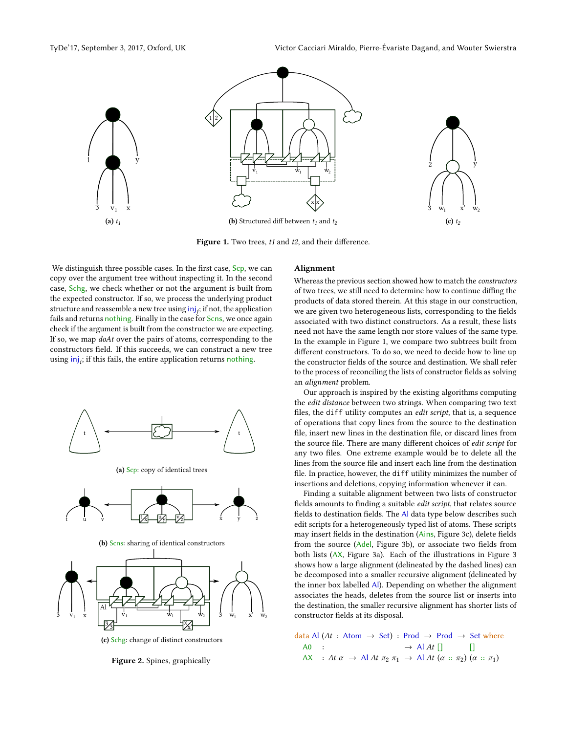<span id="page-5-0"></span>

Figure 1. Two trees,  $t1$  and  $t2$ , and their difference.

We distinguish three possible cases. In the first case, Scp, we can copy over the argument tree without inspecting it. In the second case, Schg, we check whether or not the argument is built from the expected constructor. If so, we process the underlying product structure and reassemble a new tree using  $\mathsf{inj}_j;$  if not, the application fails and returns nothing. Finally in the case for Scns, we once again check if the argument is built from the constructor we are expecting. If so, we map doAt over the pairs of atoms, corresponding to the constructors field. If this succeeds, we can construct a new tree using  $\text{inj}_i$ ; if this fails, the entire application returns nothing.

<span id="page-5-1"></span>

(a) Scp: copy of identical trees



(b) Scns: sharing of identical constructors



(c) Schg: change of distinct constructors

Figure 2. Spines, graphically

#### Alignment

Whereas the previous section showed how to match the constructors of two trees, we still need to determine how to continue diffing the products of data stored therein. At this stage in our construction, we are given two heterogeneous lists, corresponding to the fields associated with two distinct constructors. As a result, these lists need not have the same length nor store values of the same type. In the example in Figure [1,](#page-5-0) we compare two subtrees built from different constructors. To do so, we need to decide how to line up the constructor fields of the source and destination. We shall refer to the process of reconciling the lists of constructor fields as solving an alignment problem.

Our approach is inspired by the existing algorithms computing the edit distance between two strings. When comparing two text files, the diff utility computes an *edit script*, that is, a sequence of operations that copy lines from the source to the destination file, insert new lines in the destination file, or discard lines from the source file. There are many different choices of edit script for any two files. One extreme example would be to delete all the lines from the source file and insert each line from the destination file. In practice, however, the diff utility minimizes the number of insertions and deletions, copying information whenever it can.

Finding a suitable alignment between two lists of constructor fields amounts to finding a suitable edit script, that relates source fields to destination fields. The Al data type below describes such edit scripts for a heterogeneously typed list of atoms. These scripts may insert fields in the destination (Ains, Figure [3c\)](#page-6-1), delete fields from the source (Adel, Figure [3b\)](#page-6-1), or associate two fields from both lists (AX, Figure [3a\)](#page-6-1). Each of the illustrations in Figure [3](#page-6-1) shows how a large alignment (delineated by the dashed lines) can be decomposed into a smaller recursive alignment (delineated by the inner box labelled Al). Depending on whether the alignment associates the heads, deletes from the source list or inserts into the destination, the smaller recursive alignment has shorter lists of constructor fields at its disposal.

data Al (At : Atom  $\rightarrow$  Set) : Prod  $\rightarrow$  Prod  $\rightarrow$  Set where<br>A0 :  $\rightarrow$  Al At [] [] A0 :  $\rightarrow$  Al At [] [] AX : At  $\alpha \rightarrow$  Al At  $\pi_2 \pi_1 \rightarrow$  Al At  $(\alpha :: \pi_2) \ (\alpha :: \pi_1)$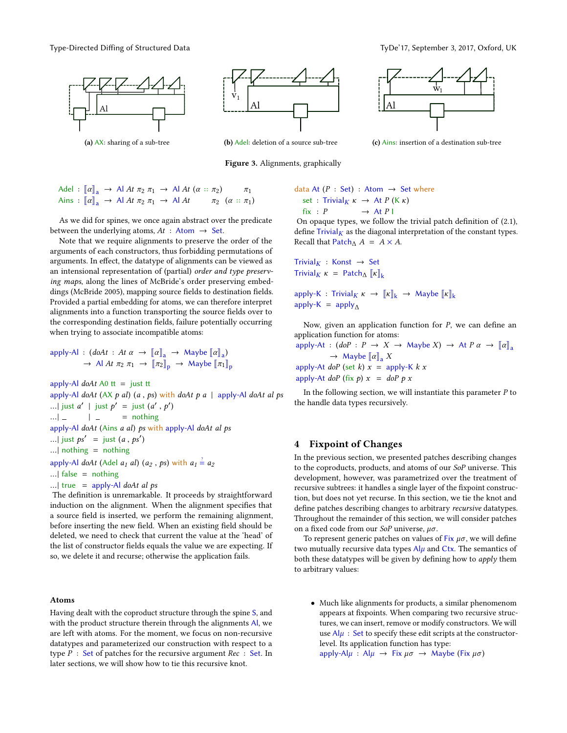Type-Directed Diffing of Structured Data Type-17, September 3, 2017, Oxford, UK

<span id="page-6-1"></span>

(a) AX: sharing of a sub-tree



(b) Adel: deletion of a source sub-tree

Figure 3. Alignments, graphically



(c) Ains: insertion of a destination sub-tree

$$
\begin{array}{lcl}\n\text{Adel} : \left[ \left[ \alpha \right]_{\mathbf{a}} \rightarrow \text{Al } At \; \pi_2 \; \pi_1 \rightarrow \text{Al } At \; (\alpha \;:: \; \pi_2) \qquad \pi_1 \\
\text{Ains} : \left[ \left[ \alpha \right]_{\mathbf{a}} \rightarrow \text{Al } At \; \pi_2 \; \pi_1 \rightarrow \text{Al } At \qquad \pi_2 \; (\alpha \;:: \; \pi_1)\n\end{array}
$$

As we did for spines, we once again abstract over the predicate between the underlying atoms,  $At : Atom \rightarrow Set$ .

Note that we require alignments to preserve the order of the arguments of each constructors, thus forbidding permutations of arguments. In effect, the datatype of alignments can be viewed as an intensional representation of (partial) order and type preserving maps, along the lines of McBride's order preserving embed-dings [\(McBride 2005\)](#page-12-15), mapping source fields to destination fields. Provided a partial embedding for atoms, we can therefore interpret alignments into a function transporting the source fields over to the corresponding destination fields, failure potentially occurring when trying to associate incompatible atoms:

$$
apply-Al: (doAt: At \alpha \rightarrow [\![\alpha]\!]_a \rightarrow \text{Maybe} [\![\alpha]\!]_a)
$$
  

$$
\rightarrow \text{Al At } \pi_2 \pi_1 \rightarrow [\![\pi_2]\!]_p \rightarrow \text{Maybe} [\![\pi_1]\!]_p
$$

apply-Al  $d\phi At$  A0  $tt =$  just tt apply-Al doAt (AX p al) (a, ps) with doAt p a | apply-Al doAt al ps ...| just  $a'$  | just  $p' =$  just  $(a', p')$  $\overline{\phantom{a}}$ ... $\vert$  =  $\vert$  = nothing<br>on the Al do At (Ains a al) bount apply-Al doAt (Ains a al) ps with apply-Al doAt al ps ...| just  $ps' =$  just  $(a, ps')$ ...| nothing  $=$  nothing apply-Al doAt (Adel  $a_1$  al)  $(a_2, ps)$  with  $a_1 \stackrel{?}{=} a_2$ ...| false = nothing ... | true = apply-Al  $d\omega A t$  al ps

The definition is unremarkable. It proceeds by straightforward induction on the alignment. When the alignment specifies that a source field is inserted, we perform the remaining alignment, before inserting the new field. When an existing field should be deleted, we need to check that current the value at the 'head' of the list of constructor fields equals the value we are expecting. If so, we delete it and recurse; otherwise the application fails.

#### Atoms

Having dealt with the coproduct structure through the spine S, and with the product structure therein through the alignments Al, we are left with atoms. For the moment, we focus on non-recursive datatypes and parameterized our construction with respect to a type  $P : Set$  of patches for the recursive argument  $Rec : Set$ . In later sections, we will show how to tie this recursive knot.

data At (P : Set) : Atom → Set where  
set : Trivial<sub>K</sub> 
$$
\kappa
$$
 → At P (K  $\kappa$ )  
fix : P → At P I

On opaque types, we follow the trivial patch definition of  $(2.1)$ , define  $Trivial<sub>K</sub>$  as the diagonal interpretation of the constant types. Recall that Patch $\Lambda$  A =  $A \times A$ .

Trivial<sub>K</sub> : Konst 
$$
\rightarrow
$$
 Set  
Trivial<sub>K</sub>  $\kappa$  =  $\text{Patch}_{\Delta} [x]_k$ 

apply-K : Trivial<sub>K</sub>  $\kappa \to \llbracket \kappa \rrbracket_k \to \text{Maybe } \llbracket \kappa \rrbracket_k$ apply-K =  $apply_A$ 

Now, given an application function for  $P$ , we can define an application function for atoms:

apply-At :  $(dof: P \rightarrow X \rightarrow \text{Maybe } X) \rightarrow \text{At } P \alpha \rightarrow [\alpha]_a$  $\rightarrow$  Maybe  $\llbracket \alpha \rrbracket$ <sub>a</sub> X apply-At *doP* (set *k*)  $x =$  apply-K *k*  $x$ apply-At doP (fix p)  $x =$  doP p x

In the following section, we will instantiate this parameter  $P$  to the handle data types recursively.

## <span id="page-6-0"></span>4 Fixpoint of Changes

In the previous section, we presented patches describing changes to the coproducts, products, and atoms of our SoP universe. This development, however, was parametrized over the treatment of recursive subtrees: it handles a single layer of the fixpoint construction, but does not yet recurse. In this section, we tie the knot and define patches describing changes to arbitrary recursive datatypes. Throughout the remainder of this section, we will consider patches on a fixed code from our SoP universe,  $\mu\sigma$ .

To represent generic patches on values of Fix  $\mu\sigma$ , we will define two mutually recursive data types  $\mathsf{Al}\mu$  and Ctx. The semantics of both these datatypes will be given by defining how to *apply* them to arbitrary values:

• Much like alignments for products, a similar phenomenom appears at fixpoints. When comparing two recursive structures, we can insert, remove or modify constructors. We will use  $Al\mu$ : Set to specify these edit scripts at the constructorlevel. Its application function has type: apply-Al $\mu$  : Al $\mu \rightarrow$  Fix  $\mu\sigma \rightarrow$  Maybe (Fix  $\mu\sigma$ )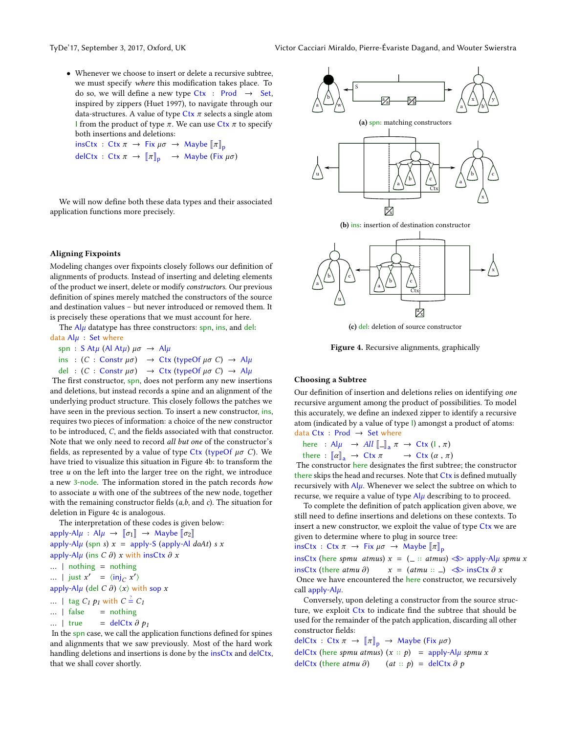• Whenever we choose to insert or delete a recursive subtree, we must specify where this modification takes place. To do so, we will define a new type  $Ctx$  : Prod  $\rightarrow$  Set, inspired by zippers [\(Huet 1997\)](#page-12-16), to navigate through our data-structures. A value of type Ctx  $\pi$  selects a single atom I from the product of type  $\pi$ . We can use Ctx  $\pi$  to specify both insertions and deletions:

 $insCtx : Ctx \pi \rightarrow Fix \mu\sigma \rightarrow Maybe \llbracket \pi \rrbracket_p$ delCtx : Ctx  $\pi \to \llbracket \pi \rrbracket_p \to \text{Map}$  (Fix  $\mu\sigma$ )

We will now define both these data types and their associated application functions more precisely.

#### <span id="page-7-1"></span>Aligning Fixpoints

Modeling changes over fixpoints closely follows our definition of alignments of products. Instead of inserting and deleting elements of the product we insert, delete or modify constructors. Our previous definition of spines merely matched the constructors of the source and destination values – but never introduced or removed them. It is precisely these operations that we must account for here.

The  $Al\mu$  datatype has three constructors: spn, ins, and del: data  $Al\mu$  : Set where

spn : S At $\mu$  (Al At $\mu$ )  $\mu\sigma \rightarrow$  Al $\mu$ ins :  $(C : \text{Constr } \mu\sigma) \rightarrow \text{Ctx } (\text{typeOf } \mu\sigma C) \rightarrow \text{Al}\mu$ del :  $(C : \text{Constr } \mu\sigma) \rightarrow \text{Ctx } (\text{typeOf } \mu\sigma C) \rightarrow \text{Al}\mu$ 

The first constructor, spn, does not perform any new insertions and deletions, but instead records a spine and an alignment of the underlying product structure. This closely follows the patches we have seen in the previous section. To insert a new constructor, ins, requires two pieces of information: a choice of the new constructor to be introduced,  $C$ , and the fields associated with that constructor. Note that we only need to record all but one of the constructor's fields, as represented by a value of type Ctx (typeOf  $\mu\sigma$  C). We have tried to visualize this situation in Figure [4b:](#page-7-0) to transform the tree  $u$  on the left into the larger tree on the right, we introduce a new 3-node. The information stored in the patch records how to associate  $u$  with one of the subtrees of the new node, together with the remaining constructor fields  $(a,b,$  and  $c)$ . The situation for deletion in Figure [4c](#page-7-0) is analogous.

The interpretation of these codes is given below: apply-Al $\mu$  : Al $\mu \rightarrow [\![\sigma_1]\!] \rightarrow$  Maybe  $[\![\sigma_2]\!]$ 

apply-Al $\mu$  (spn s)  $x =$  apply-S (apply-Al doAt) s x apply-Al $\mu$  (ins C  $\partial$ ) x with insCtx  $\partial$  x  $\ldots$  | nothing = nothing ... | just  $x' = \langle \text{inj}_C x' \rangle$ 

apply-Al $\mu$  (del C  $\partial$ )  $\langle x \rangle$  with sop x

- ... | tag  $C_1 p_1$  with  $C = C_1$
- 
- ... | false = nothing<br>... | true = delCtx  $\partial p_1$

... | true = delCtx  $\partial p_1$ <br>In the spn case, we call the application functions defined for spines and alignments that we saw previously. Most of the hard work handling deletions and insertions is done by the insCtx and delCtx, that we shall cover shortly.

<span id="page-7-0"></span>





Figure 4. Recursive alignments, graphically

#### Choosing a Subtree

Our definition of insertion and deletions relies on identifying one recursive argument among the product of possibilities. To model this accurately, we define an indexed zipper to identify a recursive atom (indicated by a value of type I) amongst a product of atoms: data  $Ctx$  : Prod  $\rightarrow$  Set where

here: Al
$$
\mu \rightarrow All \llbracket - \rrbracket_a \pi \rightarrow \text{Ctx } (\perp, \pi)
$$
  
there:  $\llbracket x \rrbracket$ 

there :  $[\![\alpha]\!]_a \to Ctx \pi \to Ctx (\alpha, \pi)$ <br>he constructor here designates the first subtr

The constructor here designates the first subtree; the constructor there skips the head and recurses. Note that Ctx is defined mutually recursively with  $\mathsf{Al}\mu$ . Whenever we select the subtree on which to recurse, we require a value of type  $Al<sub>\mu</sub>$  describing to to proceed.

To complete the definition of patch application given above, we still need to define insertions and deletions on these contexts. To insert a new constructor, we exploit the value of type Ctx we are given to determine where to plug in source tree:

insCtx : Ctx  $\pi \to \text{Fix } \mu\sigma \to \text{Maybe } [\![\pi]\!]_p$ 

insCtx (here spmu atmus)  $x = (-:: \text{atmus}) \leq x$  apply-Al $\mu$  spmu  $x$  insCtx (there atmu  $\partial$ )  $x = (\text{atmu} :: ...) \leq x$  insCtx  $\partial x$ insCtx (there *atmu ∂*)  $x = (atmu :: )$   $\iff$  insCtx *∂ x*<br>Once we have encountered the here constructor, we recursively call apply- $\mathsf{Al}\mu$ .

Conversely, upon deleting a constructor from the source structure, we exploit Ctx to indicate find the subtree that should be used for the remainder of the patch application, discarding all other constructor fields:

delCtx : Ctx  $\pi \rightarrow [\![\pi]\!]_p \rightarrow$  Maybe (Fix  $\mu\sigma$ ) delCtx (here spmu atmus)  $(x :: p)$  = apply-Al $\mu$  spmu x delCtx (there  $atmu \ \partial$ ) (at :: p) = delCtx  $\partial p$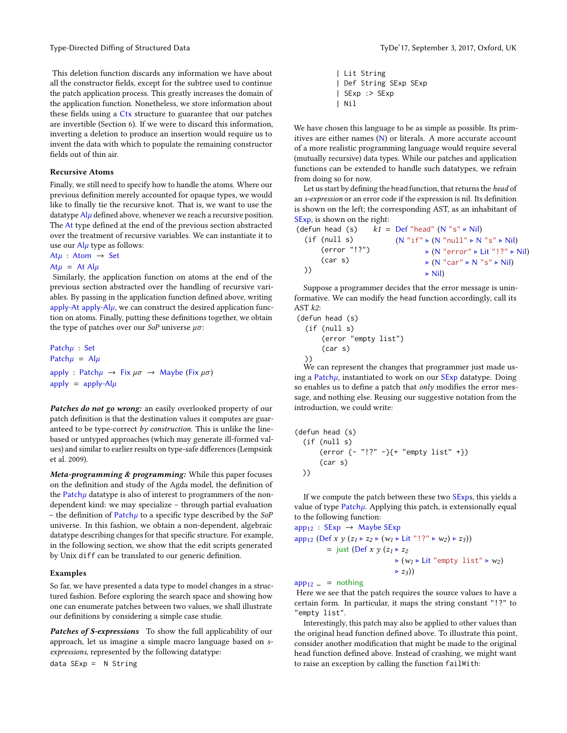This deletion function discards any information we have about all the constructor fields, except for the subtree used to continue the patch application process. This greatly increases the domain of the application function. Nonetheless, we store information about these fields using a Ctx structure to guarantee that our patches are invertible (Section [6\)](#page-10-0). If we were to discard this information, inverting a deletion to produce an insertion would require us to invent the data with which to populate the remaining constructor fields out of thin air.

## Recursive Atoms

Finally, we still need to specify how to handle the atoms. Where our previous definition merely accounted for opaque types, we would like to finally tie the recursive knot. That is, we want to use the datatype  $A|\mu$  defined above, whenever we reach a recursive position. The At type defined at the end of the previous section abstracted over the treatment of recursive variables. We can instantiate it to use our  $\frac{A|\mu|}{\mu}$  type as follows:

At $\mu$  : Atom  $\rightarrow$  Set

#### At $\mu$  = At Al $\mu$

Similarly, the application function on atoms at the end of the previous section abstracted over the handling of recursive variables. By passing in the application function defined above, writing apply-At apply-Al $\mu$ , we can construct the desired application function on atoms. Finally, putting these definitions together, we obtain the type of patches over our  $SoP$  universe  $\mu\sigma$ :

Patchµ : Set Patch $\mu$  = Al $\mu$ apply : Patch $\mu \rightarrow$  Fix  $\mu \sigma \rightarrow$  Maybe (Fix  $\mu \sigma$ ) apply =  $apply-Alµ$ 

Patches do not go wrong: an easily overlooked property of our patch definition is that the destination values it computes are guaranteed to be type-correct by construction. This is unlike the linebased or untyped approaches (which may generate ill-formed val-ues) and similar to earlier results on type-safe differences [\(Lempsink](#page-12-17) [et al. 2009\)](#page-12-17).

Meta-programming  $&$  programming: While this paper focuses on the definition and study of the Agda model, the definition of the Patch $\mu$  datatype is also of interest to programmers of the nondependent kind: we may specialize – through partial evaluation – the definition of Patch $\mu$  to a specific type described by the SoP universe. In this fashion, we obtain a non-dependent, algebraic datatype describing changes for that specific structure. For example, in the following section, we show that the edit scripts generated by Unix diff can be translated to our generic definition.

#### <span id="page-8-0"></span>Examples

So far, we have presented a data type to model changes in a structured fashion. Before exploring the search space and showing how one can enumerate patches between two values, we shall illustrate our definitions by considering a simple case studie.

Patches of S-expressions To show the full applicability of our approach, let us imagine a simple macro language based on sexpressions, represented by the following datatype:

data SExp = N String

| Lit String | Def String SExp SExp | SExp :> SExp | Nil

We have chosen this language to be as simple as possible. Its primitives are either names (N) or literals. A more accurate account of a more realistic programming language would require several (mutually recursive) data types. While our patches and application functions can be extended to handle such datatypes, we refrain from doing so for now.

Let us start by defining the head function, that returns the head of an s-expression or an error code if the expression is nil. Its definition is shown on the left; the corresponding AST, as an inhabitant of SExp, is shown on the right:

| (defun head (s) | $k1 = Def$ "head" (N "s" $\triangleright$ Nil)                              |
|-----------------|-----------------------------------------------------------------------------|
| (if (null s)    | $(N "if" \triangleright (N "null" \triangleright N "s" \triangleright Nil)$ |
| (error "!?")    | $\triangleright$ (N "error" $\triangleright$ Lit "!?" $\triangleright$ Nil) |
| (car s)         | $\triangleright$ (N "car" $\triangleright$ N "s" $\triangleright$ Nil)      |
| )               | $\triangleright$ Nil)                                                       |
|                 |                                                                             |

Suppose a programmer decides that the error message is uninformative. We can modify the head function accordingly, call its AST  $k2$ :

```
(defun head (s)
 (if (null s)
      (error "empty list")
      (car s)
  ))
```
We can represent the changes that programmer just made using a Patchµ, instantiated to work on our SExp datatype. Doing so enables us to define a patch that only modifies the error message, and nothing else. Reusing our suggestive notation from the introduction, we could write:

```
(defun head (s)
  (if (null s)
      (error {- "!?" -}{+ "empty list" +})
      (car s)
 ))
```
If we compute the patch between these two SExps, this yields a value of type  $Patch\mu$ . Applying this patch, is extensionally equal to the following function:

$$
\begin{aligned}\n\text{app}_{12} : \text{SExp} &\to \text{ Maybe SExp} \\
\text{app}_{12} \left( \text{Def } x \ y \ (z_1 \triangleright z_2 \triangleright (w_1 \triangleright \text{Lit} \text{ "}! \text{ ?} \triangleright w_2) \triangleright z_3) \right) \\
&= \text{just } (\text{Def } x \ y \ (z_1 \triangleright z_2 \\
&\downarrow \quad \downarrow (w_1 \triangleright \text{Lit} \text{ "empty list"} \triangleright w_2) \\
&\downarrow \quad z_3))\n\end{aligned}
$$

 $app_{12}$  = nothing

Here we see that the patch requires the source values to have a certain form. In particular, it maps the string constant "!?" to "empty list".

Interestingly, this patch may also be applied to other values than the original head function defined above. To illustrate this point, consider another modification that might be made to the original head function defined above. Instead of crashing, we might want to raise an exception by calling the function failWith: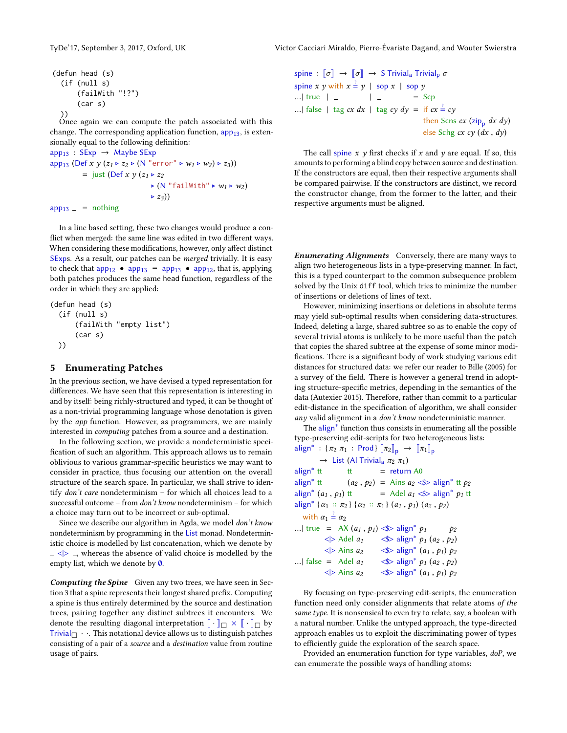```
(defun head (s)
  (if (null s)
      (failWith "!?")
      (car s)
  ))
```
Once again we can compute the patch associated with this change. The corresponding application function,  $app_{13}$ , is extensionally equal to the following definition:  $\rightarrow$  Maybe SE

$$
app_{13}: 5 \text{exp} \rightarrow \text{ maybe } \text{exp}
$$
\n
$$
app_{13} (Def \, x \, y \, (z_1 \triangleright z_2 \triangleright (N \text{ "error" } \triangleright w_1 \triangleright w_2) \triangleright z_3))
$$
\n
$$
= just (Def \, x \, y \, (z_1 \triangleright z_2 \triangleright (N \text{ "failWith" } \triangleright w_1 \triangleright w_2)
$$
\n
$$
\triangleright z_3))
$$

 $app_{13}$  = nothing

In a line based setting, these two changes would produce a con flict when merged: the same line was edited in two different ways. When considering these modifications, however, only affect distinct SExps. As a result, our patches can be merged trivially. It is easy to check that  $app_{12} \bullet app_{13} \equiv app_{13} \bullet app_{12}$ , that is, applying both patches produces the same head function, regardless of the order in which they are applied:

```
(defun head (s)
 (if (null s)
      (failWith "empty list")
      (car s)
 ))
```
## <span id="page-9-0"></span>5 Enumerating Patches

In the previous section, we have devised a typed representation for differences. We have seen that this representation is interesting in and by itself: being richly-structured and typed, it can be thought of as a non-trivial programming language whose denotation is given by the app function. However, as programmers, we are mainly interested in computing patches from a source and a destination.

In the following section, we provide a nondeterministic speci fication of such an algorithm. This approach allows us to remain oblivious to various grammar-specific heuristics we may want to consider in practice, thus focusing our attention on the overall structure of the search space. In particular, we shall strive to identify don't care nondeterminism – for which all choices lead to a successful outcome – from don't know nondeterminism – for which a choice may turn out to be incorrect or sub-optimal.

Since we describe our algorithm in Agda, we model don't know nondeterminism by programming in the List monad. Nondeterministic choice is modelled by list concatenation, which we denote by  $\vert \angle \vert$   $\vert \rangle$   $\vert$ , whereas the absence of valid choice is modelled by the empty list, which we denote by ∅.

Computing the Spine Given any two trees, we have seen in Sec-tion [3](#page-4-0) that a spine represents their longest shared prefix. Computing a spine is thus entirely determined by the source and destination trees, pairing together any distinct subtrees it encounters. We denote the resulting diagonal interpretation  $\llbracket \cdot \rrbracket_{\Box} \times \llbracket \cdot \rrbracket_{\Box}$  by Trivial  $\Box \cdot \cdot$ . This notational device allows us to distinguish patches consisting of a pair of a source and a destination value from routine usage of pairs.

spine :  $\llbracket \sigma \rrbracket \rightarrow \llbracket \sigma \rrbracket \rightarrow S$  Trivial<sub>a</sub> Trivial<sub>p</sub>  $\sigma$ spine x y with  $x = y$  | sop x | sop y ...| true  $| = | =$   $| =$   $| =$   $Scp$ ...| false | tag cx dx | tag cy dy = if  $cx \stackrel{?}{=} cy$ then Scns  $cx$  (zip<sub>p</sub> dx dy) else Schg cx cy (dx , dy)

The call spine  $x$   $y$  first checks if  $x$  and  $y$  are equal. If so, this amounts to performing a blind copy between source and destination. If the constructors are equal, then their respective arguments shall be compared pairwise. If the constructors are distinct, we record the constructor change, from the former to the latter, and their respective arguments must be aligned.

**Enumerating Alignments** Conversely, there are many ways to align two heterogeneous lists in a type-preserving manner. In fact, this is a typed counterpart to the common subsequence problem solved by the Unix diff tool, which tries to minimize the number of insertions or deletions of lines of text.

However, minimizing insertions or deletions in absolute terms may yield sub-optimal results when considering data-structures. Indeed, deleting a large, shared subtree so as to enable the copy of several trivial atoms is unlikely to be more useful than the patch that copies the shared subtree at the expense of some minor modi fications. There is a significant body of work studying various edit distances for structured data: we refer our reader to [Bille](#page-12-18) [\(2005\)](#page-12-18) for a survey of the field. There is however a general trend in adopting structure-specific metrics, depending in the semantics of the data [\(Autexier 2015\)](#page-12-19). Therefore, rather than commit to a particular edit-distance in the specification of algorithm, we shall consider any valid alignment in a don't know nondeterministic manner.

The align<sup>∗</sup> function thus consists in enumerating all the possible type-preserving edit-scripts for two heterogeneous lists:

```
align<sup>*</sup>: {\pi_2 \pi_1: Prod} [\![\pi_2]\!]_p \rightarrow [\![\pi_1]\!]_p\rightarrow List (Al Trivial<sub>a</sub> \pi_2 \pi_1)<br>align<sup>*</sup> tt tt = return
                                            = return A0
align<sup>*</sup> <sup>tt</sup> (a_2, p_2) = Ains a_2 \ll align<sup>*</sup> <sup>tt</sup> p_2align<sup>*</sup> (a_1, p_1) tt = Adel a_1 \ll \text{align}^* p_1 tt
align* {\alpha_1 :: \pi_2} {\alpha_2 :: \pi_1} (a_1, p_1) (a_2, p_2)
     with \alpha_1 \stackrel{?}{=} \alpha_2...| true = AX (a_1, p_1) \ll \text{align}^* p_1  p_2<br>\ll > \text{Adel } a_1 \ll > \text{align}^* p_1 (a_2, p_2)\ll> align<sup>*</sup> p_1 (a<sub>2</sub>, p_2)
\langle \rangle> Ains a_2<br>... | false = Adel a_1\iff align<sup>*</sup> (a_1, p_1) p_2...| false = Adel a1 <$> align∗ p1 (a2 , p2 )
                \langle \rangle Ains a_2 \quad \langle \rangle align<sup>*</sup> (a_1, p_1) p_2
```
By focusing on type-preserving edit-scripts, the enumeration function need only consider alignments that relate atoms of the same type. It is nonsensical to even try to relate, say, a boolean with a natural number. Unlike the untyped approach, the type-directed approach enables us to exploit the discriminating power of types to efficiently guide the exploration of the search space.

Provided an enumeration function for type variables, doP, we can enumerate the possible ways of handling atoms: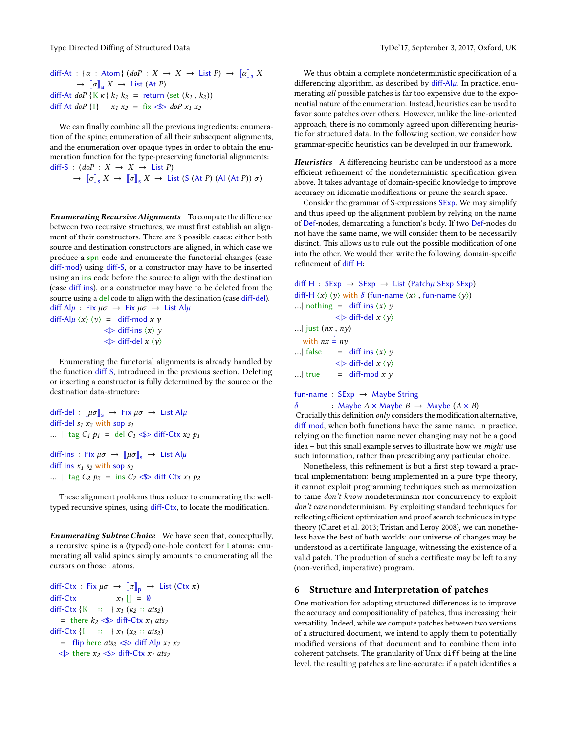diff-At : { $\alpha$  : Atom} (doP :  $X \rightarrow X \rightarrow$  List P)  $\rightarrow \llbracket \alpha \rrbracket$  X  $\rightarrow \left[\!\left[\alpha\right]\!\right]_a X \rightarrow$  List (At P) diff-At doP {K  $\kappa$ }  $k_1 k_2$  = return (set  $(k_1, k_2)$ ) diff-At doP {1}  $x_1 x_2 = f x \leq b$  doP  $x_1 x_2$ 

We can finally combine all the previous ingredients: enumeration of the spine; enumeration of all their subsequent alignments, and the enumeration over opaque types in order to obtain the enumeration function for the type-preserving functorial alignments: diff-S :  $(dof : X \rightarrow X \rightarrow List P)$ 

 $\rightarrow$   $\llbracket \sigma \rrbracket_s$ ,  $X \rightarrow \llbracket \sigma \rrbracket_s$ ,  $X \rightarrow$  List (S (At P) (Al (At P))  $\sigma$ )

**Enumerating Recursive Alignments** To compute the difference between two recursive structures, we must first establish an alignment of their constructors. There are 3 possible cases: either both source and destination constructors are aligned, in which case we produce a spn code and enumerate the functorial changes (case diff-mod) using diff-S, or a constructor may have to be inserted using an ins code before the source to align with the destination (case diff-ins), or a constructor may have to be deleted from the source using a del code to align with the destination (case diff-del). diff-Al $\mu$  : Fix  $\mu\sigma \rightarrow$  Fix  $\mu\sigma \rightarrow$  List Al $\mu$ diff-Al $\mu \langle x \rangle \langle y \rangle =$  diff-mod x y  $\langle \rangle$  diff-ins  $\langle x \rangle$  y  $\langle \rangle$  diff-del  $x \langle y \rangle$ 

Enumerating the functorial alignments is already handled by the function diff-S, introduced in the previous section. Deleting or inserting a constructor is fully determined by the source or the destination data-structure:

diff-del :  $\llbracket \mu \sigma \rrbracket_s \rightarrow$  Fix  $\mu \sigma \rightarrow$  List Al $\mu$ diff-del  $s_1 x_2$  with sop  $s_1$ ... | tag  $C_1$   $p_1$  = del  $C_1 \ll \text{Diff-}C$ tx  $x_2$   $p_1$ diff-ins : Fix  $\mu\sigma \rightarrow \llbracket \mu \sigma \rrbracket_s \rightarrow$  List Al $\mu$ diff-ins  $x_1$  s<sub>2</sub> with sop s<sub>2</sub> ... | tag  $C_2$   $p_2$  = ins  $C_2 \ll \text{S}$  diff-Ctx  $x_1$   $p_2$ 

These alignment problems thus reduce to enumerating the welltyped recursive spines, using diff-Ctx, to locate the modification.

Enumerating Subtree Choice We have seen that, conceptually, a recursive spine is a (typed) one-hole context for I atoms: enumerating all valid spines simply amounts to enumerating all the cursors on those I atoms.

```
diff-Ctx : Fix \mu\sigma \rightarrow [\![\pi]\!]_p \rightarrow List (Ctx \pi)<br>diff-Ctx x_I [] = \emptysetx_1 \Box = 0
diff-Ctx \{K = :: \_ \} x_1 (k_2 :: ats_2)= there k_2 \ll diff-Ctx x_1 ats<sub>2</sub>
diff-Ctx {1 :: ...} x_1 (x_2 :: ats_2)= flip here ats<sub>2</sub> \ll diff-Al\mu x_1 x_2\langle \rangle there x_2 \langle \rangle diff-Ctx x_1 ats<sub>2</sub>
```
We thus obtain a complete nondeterministic specification of a differencing algorithm, as described by  $diff-A|\mu$ . In practice, enumerating all possible patches is far too expensive due to the exponential nature of the enumeration. Instead, heuristics can be used to favor some patches over others. However, unlike the line-oriented approach, there is no commonly agreed upon differencing heuristic for structured data. In the following section, we consider how grammar-specific heuristics can be developed in our framework.

Heuristics A differencing heuristic can be understood as a more efficient refinement of the nondeterministic specification given above. It takes advantage of domain-specific knowledge to improve accuracy on idiomatic modifications or prune the search space.

Consider the grammar of S-expressions SExp. We may simplify and thus speed up the alignment problem by relying on the name of Def-nodes, demarcating a function's body. If two Def-nodes do not have the same name, we will consider them to be necessarily distinct. This allows us to rule out the possible modification of one into the other. We would then write the following, domain-specific refinement of diff-H:

```
diff-H : SExp \rightarrow SExp \rightarrow List (Patch\mu SExp SExp)
diff-H \langle x \rangle \langle y \rangle with \delta (fun-name \langle x \rangle, fun-name \langle y \rangle)
...| nothing = diff-ins \langle x \rangle y\langle \rangle diff-del x \langle y \rangle...| just (nx, ny)with nx = ny...| false = diff-ins \langle x \rangle y\langle \rangle diff-del x \langle y \rangle...| true = diff-mod x yfun-name : SExp → Maybe String
```

```
δ : Maybe A \times Maybe B \rightarrow Maybe (A \times B)
```
Crucially this definition  $only$  considers the modification alternative, diff-mod, when both functions have the same name. In practice, relying on the function name never changing may not be a good idea – but this small example serves to illustrate how we might use such information, rather than prescribing any particular choice.

Nonetheless, this refinement is but a first step toward a practical implementation: being implemented in a pure type theory, it cannot exploit programming techniques such as memoization to tame don't know nondeterminsm nor concurrency to exploit don't care nondeterminism. By exploiting standard techniques for reflecting efficient optimization and proof search techniques in type theory [\(Claret et al.](#page-12-20) [2013;](#page-12-20) [Tristan and Leroy 2008\)](#page-12-21), we can nonetheless have the best of both worlds: our universe of changes may be understood as a certificate language, witnessing the existence of a valid patch. The production of such a certificate may be left to any (non-verified, imperative) program.

## <span id="page-10-0"></span>6 Structure and Interpretation of patches

One motivation for adopting structured differences is to improve the accuracy and compositionality of patches, thus increasing their versatility. Indeed, while we compute patches between two versions of a structured document, we intend to apply them to potentially modified versions of that document and to combine them into coherent patchsets. The granularity of Unix diff being at the line level, the resulting patches are line-accurate: if a patch identifies a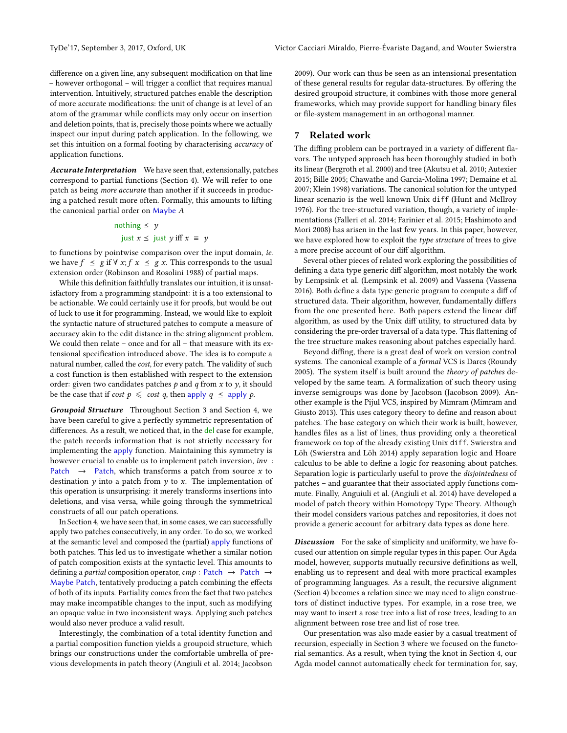difference on a given line, any subsequent modification on that line – however orthogonal – will trigger a conflict that requires manual intervention. Intuitively, structured patches enable the description of more accurate modifications: the unit of change is at level of an atom of the grammar while conflicts may only occur on insertion and deletion points, that is, precisely those points where we actually inspect our input during patch application. In the following, we set this intuition on a formal footing by characterising accuracy of application functions.

Accurate Interpretation We have seen that, extensionally, patches correspond to partial functions (Section [4\)](#page-6-0). We will refer to one patch as being more accurate than another if it succeeds in producing a patched result more often. Formally, this amounts to lifting the canonical partial order on Maybe A

## nothing  $\leq y$ just  $x \le$  just y iff  $x \equiv y$

to functions by pointwise comparison over the input domain, ie. we have  $f \leq g$  if  $\forall x; f \in \mathcal{F} \{x \leq g \}$ . This corresponds to the usual extension order [\(Robinson and Rosolini 1988\)](#page-12-22) of partial maps.

While this definition faithfully translates our intuition, it is unsatisfactory from a programming standpoint: it is a too extensional to be actionable. We could certainly use it for proofs, but would be out of luck to use it for programming. Instead, we would like to exploit the syntactic nature of structured patches to compute a measure of accuracy akin to the edit distance in the string alignment problem. We could then relate – once and for all – that measure with its extensional specification introduced above. The idea is to compute a natural number, called the cost, for every patch. The validity of such a cost function is then established with respect to the extension order: given two candidates patches  $p$  and  $q$  from  $x$  to  $y$ , it should be the case that if cost  $p \leq \cos t q$ , then apply  $q \leq \text{apply } p$ .

Groupoid Structure Throughout Section [3](#page-3-0) and Section [4,](#page-6-0) we have been careful to give a perfectly symmetric representation of differences. As a result, we noticed that, in the del case for example, the patch records information that is not strictly necessary for implementing the apply function. Maintaining this symmetry is however crucial to enable us to implement patch inversion, inv : Patch  $\rightarrow$  Patch, which transforms a patch from source x to destination  $\gamma$  into a patch from  $\gamma$  to x. The implementation of this operation is unsurprising: it merely transforms insertions into deletions, and visa versa, while going through the symmetrical constructs of all our patch operations.

In Section [4,](#page-8-0) we have seen that, in some cases, we can successfully apply two patches consecutively, in any order. To do so, we worked at the semantic level and composed the (partial) apply functions of both patches. This led us to investigate whether a similar notion of patch composition exists at the syntactic level. This amounts to defining a partial composition operator,  $cmp : Patch \rightarrow Patch \rightarrow$ Maybe Patch, tentatively producing a patch combining the effects of both of its inputs. Partiality comes from the fact that two patches may make incompatible changes to the input, such as modifying an opaque value in two inconsistent ways. Applying such patches would also never produce a valid result.

Interestingly, the combination of a total identity function and a partial composition function yields a groupoid structure, which brings our constructions under the comfortable umbrella of previous developments in patch theory [\(Angiuli et al.](#page-12-23) [2014;](#page-12-23) [Jacobson](#page-12-24)

[2009\)](#page-12-24). Our work can thus be seen as an intensional presentation of these general results for regular data-structures. By offering the desired groupoid structure, it combines with those more general frameworks, which may provide support for handling binary files or file-system management in an orthogonal manner.

## 7 Related work

The diffing problem can be portrayed in a variety of different flavors. The untyped approach has been thoroughly studied in both its linear [\(Bergroth et al.](#page-12-25) [2000\)](#page-12-25) and tree [\(Akutsu et al.](#page-12-26) [2010;](#page-12-26) [Autexier](#page-12-19) [2015;](#page-12-19) [Bille 2005;](#page-12-18) [Chawathe and Garcia-Molina 1997;](#page-12-27) [Demaine et al.](#page-12-28) [2007;](#page-12-28) [Klein 1998\)](#page-12-29) variations. The canonical solution for the untyped linear scenario is the well known Unix diff [\(Hunt and McIlroy](#page-12-4) [1976\)](#page-12-4). For the tree-structured variation, though, a variety of implementations [\(Falleri et al.](#page-12-30) [2014;](#page-12-30) [Farinier et al.](#page-12-31) [2015;](#page-12-31) [Hashimoto and](#page-12-32) [Mori 2008\)](#page-12-32) has arisen in the last few years. In this paper, however, we have explored how to exploit the type structure of trees to give a more precise account of our diff algorithm.

Several other pieces of related work exploring the possibilities of defining a data type generic diff algorithm, most notably the work by Lempsink et al. [\(Lempsink et al.](#page-12-17) [2009\)](#page-12-17) and Vassena [\(Vassena](#page-13-4) [2016\)](#page-13-4). Both define a data type generic program to compute a diff of structured data. Their algorithm, however, fundamentally differs from the one presented here. Both papers extend the linear diff algorithm, as used by the Unix diff utility, to structured data by considering the pre-order traversal of a data type. This flattening of the tree structure makes reasoning about patches especially hard.

Beyond diffing, there is a great deal of work on version control systems. The canonical example of a formal VCS is Darcs [\(Roundy](#page-12-33) [2005\)](#page-12-33). The system itself is built around the theory of patches developed by the same team. A formalization of such theory using inverse semigroups was done by Jacobson [\(Jacobson 2009\)](#page-12-24). Another example is the Pijul VCS, inspired by Mimram [\(Mimram and](#page-12-34) [Giusto 2013\)](#page-12-34). This uses category theory to define and reason about patches. The base category on which their work is built, however, handles files as a list of lines, thus providing only a theoretical framework on top of the already existing Unix diff. Swierstra and Löh [\(Swierstra and Löh 2014\)](#page-12-35) apply separation logic and Hoare calculus to be able to define a logic for reasoning about patches. Separation logic is particularly useful to prove the disjointedness of patches – and guarantee that their associated apply functions commute. Finally, Anguiuli et al. [\(Angiuli et al.](#page-12-23) [2014\)](#page-12-23) have developed a model of patch theory within Homotopy Type Theory. Although their model considers various patches and repositories, it does not provide a generic account for arbitrary data types as done here.

<span id="page-11-0"></span>**Discussion** For the sake of simplicity and uniformity, we have focused our attention on simple regular types in this paper. Our Agda model, however, supports mutually recursive definitions as well, enabling us to represent and deal with more practical examples of programming languages. As a result, the recursive alignment (Section [4\)](#page-7-1) becomes a relation since we may need to align constructors of distinct inductive types. For example, in a rose tree, we may want to insert a rose tree into a list of rose trees, leading to an alignment between rose tree and list of rose tree.

Our presentation was also made easier by a casual treatment of recursion, especially in Section [3](#page-3-0) where we focused on the functorial semantics. As a result, when tying the knot in Section [4,](#page-6-0) our Agda model cannot automatically check for termination for, say,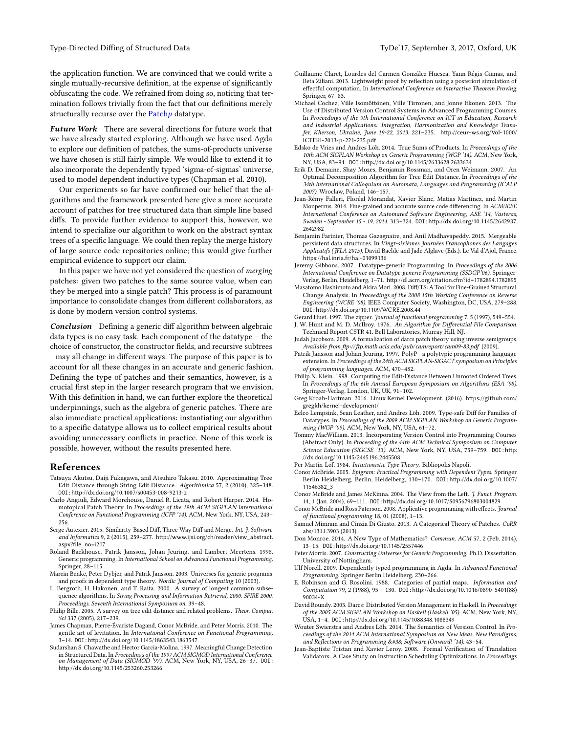the application function. We are convinced that we could write a single mutually-recursive definition, at the expense of significantly obfuscating the code. We refrained from doing so, noticing that termination follows trivially from the fact that our definitions merely structurally recurse over the  $Path  $\mu$  datatype.$ 

Future Work There are several directions for future work that we have already started exploring. Although we have used Agda to explore our definition of patches, the sums-of-products universe we have chosen is still fairly simple. We would like to extend it to also incorporate the dependently typed 'sigma-of-sigmas' universe, used to model dependent inductive types [\(Chapman et al. 2010\)](#page-12-36).

Our experiments so far have confirmed our belief that the algorithms and the framework presented here give a more accurate account of patches for tree structured data than simple line based diffs. To provide further evidence to support this, however, we intend to specialize our algorithm to work on the abstract syntax trees of a specific language. We could then replay the merge history of large source code repositories online; this would give further empirical evidence to support our claim.

In this paper we have not yet considered the question of merging patches: given two patches to the same source value, when can they be merged into a single patch? This process is of paramount importance to consolidate changes from different collaborators, as is done by modern version control systems.

Conclusion Defining a generic diff algorithm between algebraic data types is no easy task. Each component of the datatype – the choice of constructor, the constructor fields, and recursive subtrees – may all change in different ways. The purpose of this paper is to account for all these changes in an accurate and generic fashion. Defining the type of patches and their semantics, however, is a crucial first step in the larger research program that we envision. With this definition in hand, we can further explore the theoretical underpinnings, such as the algebra of generic patches. There are also immediate practical applications: instantiating our algorithm to a specific datatype allows us to collect empirical results about avoiding unnecessary conflicts in practice. None of this work is possible, however, without the results presented here.

## References

- <span id="page-12-26"></span>Tatsuya Akutsu, Daiji Fukagawa, and Atsuhiro Takasu. 2010. Approximating Tree Edit Distance through String Edit Distance. Algorithmica 57, 2 (2010), 325–348. DOI:[hp://dx.doi.org/10.1007/s00453-008-9213-z](http://dx.doi.org/10.1007/s00453-008-9213-z)
- <span id="page-12-23"></span>Carlo Angiuli, Edward Morehouse, Daniel R. Licata, and Robert Harper. 2014. Homotopical Patch Theory. In Proceedings of the 19th ACM SIGPLAN International Conference on Functional Programming (ICFP '14). ACM, New York, NY, USA, 243– 256.
- <span id="page-12-19"></span>Serge Autexier. 2015. Similarity-Based Diff, Three-Way Diff and Merge. Int. J. Software and Informatics 9, 2 (2015), 259-277. http://www.ijsi.org/ch/reader/view\_abstract. [aspx?file\\_no=i217](http://www.ijsi.org/ch/reader/view_abstract.aspx?file_no=i217)
- <span id="page-12-6"></span>Roland Backhouse, Patrik Jansson, Johan Jeuring, and Lambert Meertens. 1998. Generic programming. In International School on Advanced Functional Programming. Springer, 28–115.
- <span id="page-12-11"></span>Marcin Benke, Peter Dybjer, and Patrik Jansson. 2003. Universes for generic programs and proofs in dependent type theory. Nordic Journal of Computing 10 (2003).
- <span id="page-12-25"></span>L. Bergroth, H. Hakonen, and T. Raita. 2000. A survey of longest common subsequence algorithms. In String Processing and Information Retrieval, 2000. SPIRE 2000. Proceedings. Seventh International Symposium on. 39–48.
- <span id="page-12-18"></span>Philip Bille. 2005. A survey on tree edit distance and related problems. Theor. Comput. Sci 337 (2005), 217–239.
- <span id="page-12-36"></span>James Chapman, Pierre-Évariste Dagand, Conor McBride, and Peter Morris. 2010. The gentle art of levitation. In International Conference on Functional Programming. 3-14. DOI: http://dx.doi.org/10.1145/1863543.1863547
- <span id="page-12-27"></span>Sudarshan S. Chawathe and Hector Garcia-Molina. 1997. Meaningful Change Detection in Structured Data. In Proceedings of the 1997 ACM SIGMOD International Conference on Management of Data (SIGMOD '97). ACM, New York, NY, USA, 26–37. DOI: [hp://dx.doi.org/10.1145/253260.253266](http://dx.doi.org/10.1145/253260.253266)
- <span id="page-12-20"></span>Guillaume Claret, Lourdes del Carmen González Huesca, Yann Régis-Gianas, and Beta Ziliani. 2013. Lightweight proof by reflection using a posteriori simulation of effectful computation. In International Conference on Interactive Theorem Proving. Springer, 67–83.
- <span id="page-12-0"></span>Michael Cochez, Ville Isomöttönen, Ville Tirronen, and Jonne Itkonen. 2013. The Use of Distributed Version Control Systems in Advanced Programming Courses. In Proceedings of the 9th International Conference on ICT in Education, Research and Industrial Applications: Integration, Harmonization and Knowledge Transfer, Kherson, Ukraine, June 19-22, 2013. 221-235. http://ceur-ws.org/Vol-1000/ [ICTERI-2013-p-221-235.pdf](http://ceur-ws.org/Vol-1000/ICTERI-2013-p-221-235.pdf)
- <span id="page-12-10"></span>Edsko de Vries and Andres Löh. 2014. True Sums of Products. In Proceedings of the 10th ACM SIGPLAN Workshop on Generic Programming (WGP '14). ACM, New York, NY, USA, 83-94. DOI: http://dx.doi.org/10.1145/2633628.2633634
- <span id="page-12-28"></span>Erik D. Demaine, Shay Mozes, Benjamin Rossman, and Oren Weimann. 2007. An Optimal Decomposition Algorithm for Tree Edit Distance. In Proceedings of the 34th International Colloquium on Automata, Languages and Programming (ICALP 2007). Wroclaw, Poland, 146–157.
- <span id="page-12-30"></span>Jean-Rémy Falleri, Floréal Morandat, Xavier Blanc, Matias Martinez, and Martin Monperrus. 2014. Fine-grained and accurate source code differencing. In  $ACM/IEEE$ International Conference on Automated Software Engineering, ASE '14, Vasteras, Sweden - September 15 - 19, 2014. 313-324. DOI: http://dx.doi.org/10.1145/2642937. [2642982](http://dx.doi.org/10.1145/2642937.2642982)
- <span id="page-12-31"></span>Benjamin Farinier, Thomas Gazagnaire, and Anil Madhavapeddy. 2015. Mergeable persistent data structures. In Vingt-sixièmes Journées Francophones des Langages Applicatifs (JFLA 2015), David Baelde and Jade Alglave (Eds.). Le Val d'Ajol, France. https://hal.inria.fr/hal-01099136
- <span id="page-12-12"></span>Jeremy Gibbons. 2007. Datatype-generic Programming. In Proceedings of the 2006 International Conference on Datatype-generic Programming (SSDGP'06). Springer-Verlag, Berlin, Heidelberg, 1-71. http://dl.acm.org/citation.cfm?id=1782894.1782895
- <span id="page-12-32"></span>Masatomo Hashimoto and Akira Mori. 2008. Diff/TS: A Tool for Fine-Grained Structural Change Analysis. In Proceedings of the 2008 15th Working Conference on Reverse Engineering (WCRE '08). IEEE Computer Society, Washington, DC, USA, 279–288. DOI:[hp://dx.doi.org/10.1109/WCRE.2008.44](http://dx.doi.org/10.1109/WCRE.2008.44)
- <span id="page-12-16"></span>Gerard Huet. 1997. The zipper. Journal of functional programming 7, 5 (1997), 549–554.
- <span id="page-12-4"></span>J. W. Hunt and M. D. McIlroy. 1976. An Algorithm for Differential File Comparison. Technical Report CSTR 41. Bell Laboratories, Murray Hill, NJ.
- <span id="page-12-24"></span>Judah Jacobson. 2009. A formalization of darcs patch theory using inverse semigroups. Available from ftp://ftp.math.ucla.edu/pub/camreport/cam09-83.pdf (2009).
- <span id="page-12-7"></span>Patrik Jansson and Johan Jeuring. 1997. PolyP—a polytypic programming language extension. In Proceedings of the 24th ACM SIGPLAN-SIGACT symposium on Principles of programming languages. ACM, 470–482.
- <span id="page-12-29"></span>Philip N. Klein. 1998. Computing the Edit-Distance Between Unrooted Ordered Trees. In Proceedings of the 6th Annual European Symposium on Algorithms (ESA '98). Springer-Verlag, London, UK, UK, 91–102.
- <span id="page-12-2"></span>Greg Kroah-Hartman. 2016. Linux Kernel Development. (2016). https://github.com/ [gregkh/kernel-development/](https://github.com/gregkh/kernel-development/)
- <span id="page-12-17"></span>Eelco Lempsink, Sean Leather, and Andres Löh. 2009. Type-safe Diff for Families of Datatypes. In Proceedings of the 2009 ACM SIGPLAN Workshop on Generic Programming (WGP '09). ACM, New York, NY, USA, 61–72.
- <span id="page-12-1"></span>Tommy MacWilliam. 2013. Incorporating Version Control into Programming Courses (Abstract Only). In Proceeding of the 44th ACM Technical Symposium on Computer Science Education (SIGCSE '13). ACM, New York, NY, USA, 759-759. DOI: http: [//dx.doi.org/10.1145/2445196.2445508](http://dx.doi.org/10.1145/2445196.2445508)
- <span id="page-12-8"></span>Per Martin-Löf. 1984. Intuitionistic Type Theory. Bibliopolis Napoli.
- <span id="page-12-15"></span>Conor McBride. 2005. Epigram: Practical Programming with Dependent Types. Springer Berlin Heidelberg, Berlin, Heidelberg, 130-170. DOI:http://dx.doi.org/10.1007/ [11546382\\_3](http://dx.doi.org/10.1007/11546382_3)
- <span id="page-12-13"></span>Conor McBride and James McKinna. 2004. The View from the Left. J. Funct. Program. 14, 1 (Jan. 2004), 69-111. DOI: http://dx.doi.org/10.1017/S0956796803004829
- <span id="page-12-14"></span>Conor McBride and Ross Paterson. 2008. Applicative programming with effects. Journal of functional programming 18, 01 (2008), 1–13.
- <span id="page-12-34"></span>Samuel Mimram and Cinzia Di Giusto. 2013. A Categorical Theory of Patches. CoRR abs/1311.3903 (2013).
- <span id="page-12-3"></span>Don Monroe. 2014. A New Type of Mathematics? Commun. ACM 57, 2 (Feb. 2014), 13-15. DOI: http://dx.doi.org/10.1145/2557446
- <span id="page-12-9"></span>Peter Morris. 2007. Constructing Universes for Generic Programming. Ph.D. Dissertation. University of Nottingham.
- <span id="page-12-5"></span>Ulf Norell. 2009. Dependently typed programming in Agda. In Advanced Functional Programming. Springer Berlin Heidelberg, 230–266.
- <span id="page-12-22"></span>E. Robinson and G. Rosolini. 1988. Categories of partial maps. Information and Computation 79, 2 (1988), 95 - 130. DOI: http://dx.doi.org/10.1016/0890-5401(88) [90034-X](http://dx.doi.org/10.1016/0890-5401(88)90034-X)
- <span id="page-12-33"></span>David Roundy. 2005. Darcs: Distributed Version Management in Haskell. In Proceedings of the 2005 ACM SIGPLAN Workshop on Haskell (Haskell '05). ACM, New York, NY, USA, 1-4. DOI: http://dx.doi.org/10.1145/1088348.1088349
- <span id="page-12-35"></span>Wouter Swierstra and Andres Löh. 2014. The Semantics of Version Control. In Proceedings of the 2014 ACM International Symposium on New Ideas, New Paradigms, and Reflections on Programming & Software (Onward! '14). 43-54.
- <span id="page-12-21"></span>Jean-Baptiste Tristan and Xavier Leroy. 2008. Formal Verification of Translation Validators: A Case Study on Instruction Scheduling Optimizations. In Proceedings